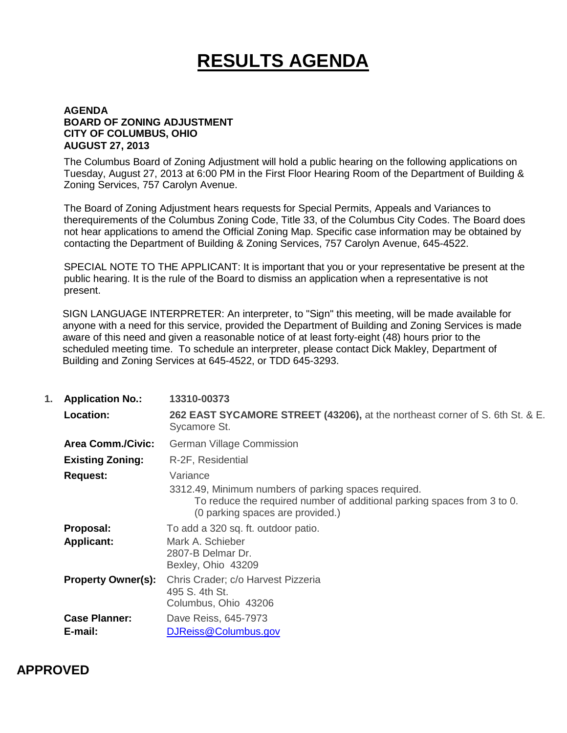# **RESULTS AGENDA**

#### **AGENDA BOARD OF ZONING ADJUSTMENT CITY OF COLUMBUS, OHIO AUGUST 27, 2013**

The Columbus Board of Zoning Adjustment will hold a public hearing on the following applications on Tuesday, August 27, 2013 at 6:00 PM in the First Floor Hearing Room of the Department of Building & Zoning Services, 757 Carolyn Avenue.

The Board of Zoning Adjustment hears requests for Special Permits, Appeals and Variances to therequirements of the Columbus Zoning Code, Title 33, of the Columbus City Codes. The Board does not hear applications to amend the Official Zoning Map. Specific case information may be obtained by contacting the Department of Building & Zoning Services, 757 Carolyn Avenue, 645-4522.

SPECIAL NOTE TO THE APPLICANT: It is important that you or your representative be present at the public hearing. It is the rule of the Board to dismiss an application when a representative is not present.

SIGN LANGUAGE INTERPRETER: An interpreter, to "Sign" this meeting, will be made available for anyone with a need for this service, provided the Department of Building and Zoning Services is made aware of this need and given a reasonable notice of at least forty-eight (48) hours prior to the scheduled meeting time. To schedule an interpreter, please contact Dick Makley, Department of Building and Zoning Services at 645-4522, or TDD 645-3293.

| 1. | <b>Application No.:</b>   | 13310-00373                                                                                                                                                         |
|----|---------------------------|---------------------------------------------------------------------------------------------------------------------------------------------------------------------|
|    | <b>Location:</b>          | 262 EAST SYCAMORE STREET (43206), at the northeast corner of S. 6th St. & E.<br>Sycamore St.                                                                        |
|    | <b>Area Comm./Civic:</b>  | <b>German Village Commission</b>                                                                                                                                    |
|    | <b>Existing Zoning:</b>   | R-2F, Residential                                                                                                                                                   |
|    | <b>Request:</b>           | Variance                                                                                                                                                            |
|    |                           | 3312.49, Minimum numbers of parking spaces required.<br>To reduce the required number of additional parking spaces from 3 to 0.<br>(0 parking spaces are provided.) |
|    | Proposal:                 | To add a 320 sq. ft. outdoor patio.                                                                                                                                 |
|    | <b>Applicant:</b>         | Mark A. Schieber<br>2807-B Delmar Dr.<br>Bexley, Ohio 43209                                                                                                         |
|    | <b>Property Owner(s):</b> | Chris Crader; c/o Harvest Pizzeria<br>495 S. 4th St.<br>Columbus, Ohio 43206                                                                                        |
|    | <b>Case Planner:</b>      | Dave Reiss, 645-7973                                                                                                                                                |
|    | E-mail:                   | DJReiss@Columbus.gov                                                                                                                                                |

### **APPROVED**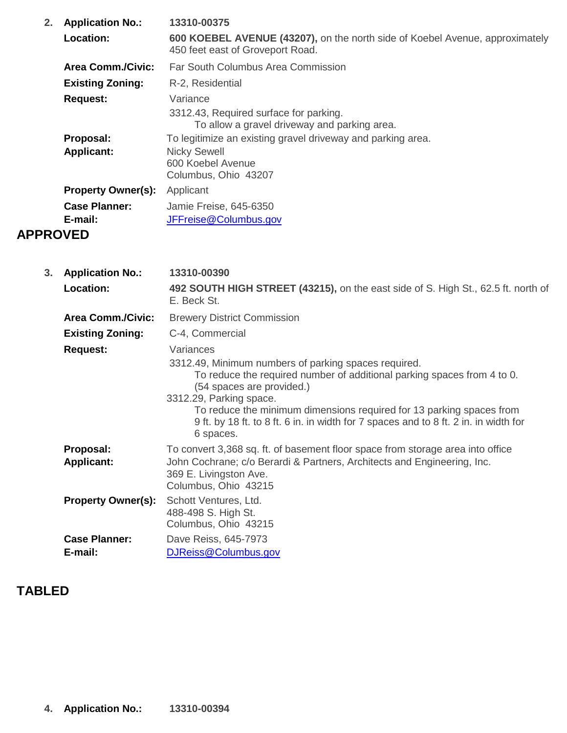| 2.              | <b>Application No.:</b>         | 13310-00375                                                                                                      |
|-----------------|---------------------------------|------------------------------------------------------------------------------------------------------------------|
|                 | Location:                       | 600 KOEBEL AVENUE (43207), on the north side of Koebel Avenue, approximately<br>450 feet east of Groveport Road. |
|                 | Area Comm./Civic:               | Far South Columbus Area Commission                                                                               |
|                 | <b>Existing Zoning:</b>         | R-2, Residential                                                                                                 |
|                 | <b>Request:</b>                 | Variance<br>3312.43, Required surface for parking.<br>To allow a gravel driveway and parking area.               |
|                 | Proposal:                       | To legitimize an existing gravel driveway and parking area.                                                      |
|                 | <b>Applicant:</b>               | <b>Nicky Sewell</b><br>600 Koebel Avenue<br>Columbus, Ohio 43207                                                 |
|                 | <b>Property Owner(s):</b>       | Applicant                                                                                                        |
|                 | <b>Case Planner:</b><br>E-mail: | Jamie Freise, 645-6350<br>JFFreise@Columbus.gov                                                                  |
| <b>APPROVED</b> |                                 |                                                                                                                  |

| 3. | <b>Application No.:</b>         | 13310-00390                                                                                                                                                                                                                                                                                                                                                                       |
|----|---------------------------------|-----------------------------------------------------------------------------------------------------------------------------------------------------------------------------------------------------------------------------------------------------------------------------------------------------------------------------------------------------------------------------------|
|    | Location:                       | 492 SOUTH HIGH STREET (43215), on the east side of S. High St., 62.5 ft. north of<br>E. Beck St.                                                                                                                                                                                                                                                                                  |
|    | <b>Area Comm./Civic:</b>        | <b>Brewery District Commission</b>                                                                                                                                                                                                                                                                                                                                                |
|    | <b>Existing Zoning:</b>         | C-4, Commercial                                                                                                                                                                                                                                                                                                                                                                   |
|    | <b>Request:</b>                 | Variances<br>3312.49, Minimum numbers of parking spaces required.<br>To reduce the required number of additional parking spaces from 4 to 0.<br>(54 spaces are provided.)<br>3312.29, Parking space.<br>To reduce the minimum dimensions required for 13 parking spaces from<br>9 ft. by 18 ft. to 8 ft. 6 in. in width for 7 spaces and to 8 ft. 2 in. in width for<br>6 spaces. |
|    | Proposal:<br><b>Applicant:</b>  | To convert 3,368 sq. ft. of basement floor space from storage area into office<br>John Cochrane; c/o Berardi & Partners, Architects and Engineering, Inc.<br>369 E. Livingston Ave.<br>Columbus, Ohio 43215                                                                                                                                                                       |
|    | <b>Property Owner(s):</b>       | Schott Ventures, Ltd.<br>488-498 S. High St.<br>Columbus, Ohio 43215                                                                                                                                                                                                                                                                                                              |
|    | <b>Case Planner:</b><br>E-mail: | Dave Reiss, 645-7973<br>DJReiss@Columbus.gov                                                                                                                                                                                                                                                                                                                                      |

# **TABLED**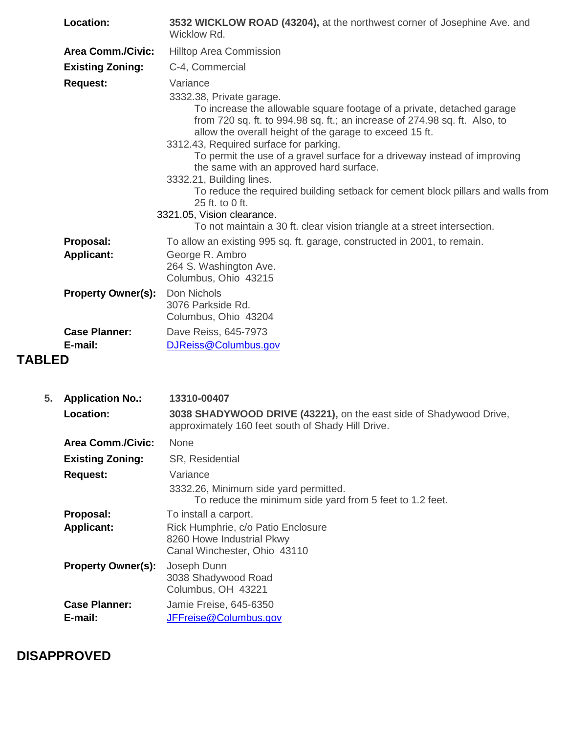| Location:                 | 3532 WICKLOW ROAD (43204), at the northwest corner of Josephine Ave. and<br>Wicklow Rd.                                                                                                                                                                                                                                                                                                                                                                                                                                                                                                                                                                               |
|---------------------------|-----------------------------------------------------------------------------------------------------------------------------------------------------------------------------------------------------------------------------------------------------------------------------------------------------------------------------------------------------------------------------------------------------------------------------------------------------------------------------------------------------------------------------------------------------------------------------------------------------------------------------------------------------------------------|
| <b>Area Comm./Civic:</b>  | <b>Hilltop Area Commission</b>                                                                                                                                                                                                                                                                                                                                                                                                                                                                                                                                                                                                                                        |
| <b>Existing Zoning:</b>   | C-4, Commercial                                                                                                                                                                                                                                                                                                                                                                                                                                                                                                                                                                                                                                                       |
| <b>Request:</b>           | Variance<br>3332.38, Private garage.<br>To increase the allowable square footage of a private, detached garage<br>from 720 sq. ft. to 994.98 sq. ft.; an increase of 274.98 sq. ft. Also, to<br>allow the overall height of the garage to exceed 15 ft.<br>3312.43, Required surface for parking.<br>To permit the use of a gravel surface for a driveway instead of improving<br>the same with an approved hard surface.<br>3332.21, Building lines.<br>To reduce the required building setback for cement block pillars and walls from<br>25 ft. to 0 ft.<br>3321.05, Vision clearance.<br>To not maintain a 30 ft. clear vision triangle at a street intersection. |
| Proposal:                 | To allow an existing 995 sq. ft. garage, constructed in 2001, to remain.                                                                                                                                                                                                                                                                                                                                                                                                                                                                                                                                                                                              |
| <b>Applicant:</b>         | George R. Ambro<br>264 S. Washington Ave.<br>Columbus, Ohio 43215                                                                                                                                                                                                                                                                                                                                                                                                                                                                                                                                                                                                     |
| <b>Property Owner(s):</b> | Don Nichols<br>3076 Parkside Rd.<br>Columbus, Ohio 43204                                                                                                                                                                                                                                                                                                                                                                                                                                                                                                                                                                                                              |
| <b>Case Planner:</b>      | Dave Reiss, 645-7973                                                                                                                                                                                                                                                                                                                                                                                                                                                                                                                                                                                                                                                  |
| E-mail:                   | DJReiss@Columbus.gov                                                                                                                                                                                                                                                                                                                                                                                                                                                                                                                                                                                                                                                  |
| <b>TABLED</b>             |                                                                                                                                                                                                                                                                                                                                                                                                                                                                                                                                                                                                                                                                       |

| 5. | <b>Application No.:</b>   | 13310-00407                                                                                                             |
|----|---------------------------|-------------------------------------------------------------------------------------------------------------------------|
|    | Location:                 | 3038 SHADYWOOD DRIVE (43221), on the east side of Shadywood Drive,<br>approximately 160 feet south of Shady Hill Drive. |
|    | <b>Area Comm./Civic:</b>  | <b>None</b>                                                                                                             |
|    | <b>Existing Zoning:</b>   | <b>SR, Residential</b>                                                                                                  |
|    | <b>Request:</b>           | Variance<br>3332.26, Minimum side yard permitted.<br>To reduce the minimum side yard from 5 feet to 1.2 feet.           |
|    | Proposal:                 | To install a carport.                                                                                                   |
|    | <b>Applicant:</b>         | Rick Humphrie, c/o Patio Enclosure<br>8260 Howe Industrial Pkwy<br>Canal Winchester, Ohio 43110                         |
|    | <b>Property Owner(s):</b> | Joseph Dunn<br>3038 Shadywood Road<br>Columbus, OH 43221                                                                |
|    | <b>Case Planner:</b>      | Jamie Freise, 645-6350                                                                                                  |
|    | E-mail:                   | JFFreise@Columbus.gov                                                                                                   |

# **DISAPPROVED**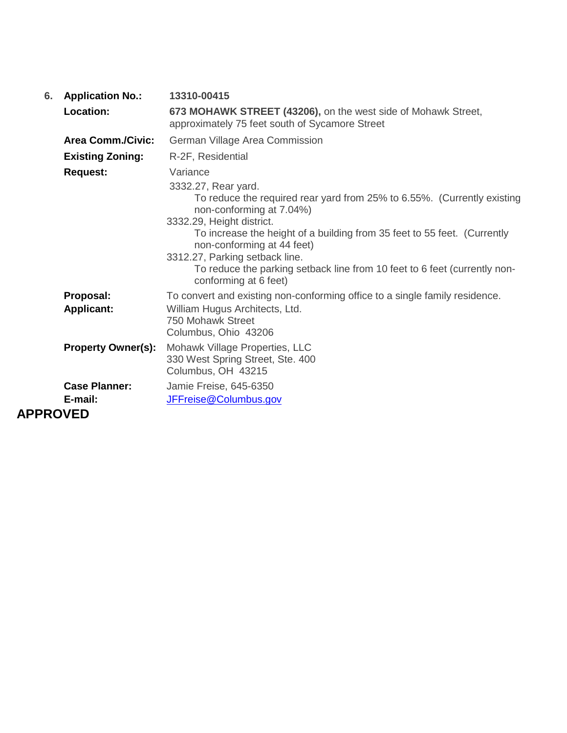| 6.              | <b>Application No.:</b>        | 13310-00415                                                                                                                                                                                                                                                                                                                                                                                                           |
|-----------------|--------------------------------|-----------------------------------------------------------------------------------------------------------------------------------------------------------------------------------------------------------------------------------------------------------------------------------------------------------------------------------------------------------------------------------------------------------------------|
|                 | <b>Location:</b>               | 673 MOHAWK STREET (43206), on the west side of Mohawk Street,<br>approximately 75 feet south of Sycamore Street                                                                                                                                                                                                                                                                                                       |
|                 | <b>Area Comm./Civic:</b>       | German Village Area Commission                                                                                                                                                                                                                                                                                                                                                                                        |
|                 | <b>Existing Zoning:</b>        | R-2F, Residential                                                                                                                                                                                                                                                                                                                                                                                                     |
|                 | <b>Request:</b>                | Variance<br>3332.27, Rear yard.<br>To reduce the required rear yard from 25% to 6.55%. (Currently existing<br>non-conforming at 7.04%)<br>3332.29, Height district.<br>To increase the height of a building from 35 feet to 55 feet. (Currently<br>non-conforming at 44 feet)<br>3312.27, Parking setback line.<br>To reduce the parking setback line from 10 feet to 6 feet (currently non-<br>conforming at 6 feet) |
|                 | Proposal:<br><b>Applicant:</b> | To convert and existing non-conforming office to a single family residence.<br>William Hugus Architects, Ltd.<br>750 Mohawk Street<br>Columbus, Ohio 43206                                                                                                                                                                                                                                                            |
|                 | <b>Property Owner(s):</b>      | Mohawk Village Properties, LLC<br>330 West Spring Street, Ste. 400<br>Columbus, OH 43215                                                                                                                                                                                                                                                                                                                              |
|                 | <b>Case Planner:</b>           | Jamie Freise, 645-6350                                                                                                                                                                                                                                                                                                                                                                                                |
|                 | E-mail:                        | JFFreise@Columbus.gov                                                                                                                                                                                                                                                                                                                                                                                                 |
| <b>APPROVED</b> |                                |                                                                                                                                                                                                                                                                                                                                                                                                                       |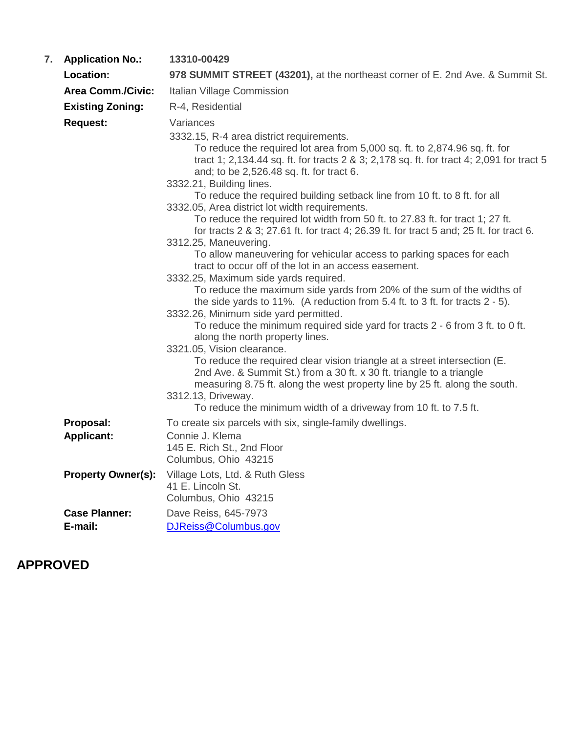| 7. | <b>Application No.:</b>   | 13310-00429                                                                                                                                                                                                                                                                                                                                                                                                                                                                                                                                                                                                                                                                                                                                                                                                                                                                                                                                                                                                                                                                                                                                                                                                                                                                                                                                                                                                                                                                                   |
|----|---------------------------|-----------------------------------------------------------------------------------------------------------------------------------------------------------------------------------------------------------------------------------------------------------------------------------------------------------------------------------------------------------------------------------------------------------------------------------------------------------------------------------------------------------------------------------------------------------------------------------------------------------------------------------------------------------------------------------------------------------------------------------------------------------------------------------------------------------------------------------------------------------------------------------------------------------------------------------------------------------------------------------------------------------------------------------------------------------------------------------------------------------------------------------------------------------------------------------------------------------------------------------------------------------------------------------------------------------------------------------------------------------------------------------------------------------------------------------------------------------------------------------------------|
|    | <b>Location:</b>          | 978 SUMMIT STREET (43201), at the northeast corner of E. 2nd Ave. & Summit St.                                                                                                                                                                                                                                                                                                                                                                                                                                                                                                                                                                                                                                                                                                                                                                                                                                                                                                                                                                                                                                                                                                                                                                                                                                                                                                                                                                                                                |
|    | <b>Area Comm./Civic:</b>  | Italian Village Commission                                                                                                                                                                                                                                                                                                                                                                                                                                                                                                                                                                                                                                                                                                                                                                                                                                                                                                                                                                                                                                                                                                                                                                                                                                                                                                                                                                                                                                                                    |
|    | <b>Existing Zoning:</b>   | R-4, Residential                                                                                                                                                                                                                                                                                                                                                                                                                                                                                                                                                                                                                                                                                                                                                                                                                                                                                                                                                                                                                                                                                                                                                                                                                                                                                                                                                                                                                                                                              |
|    | <b>Request:</b>           | Variances                                                                                                                                                                                                                                                                                                                                                                                                                                                                                                                                                                                                                                                                                                                                                                                                                                                                                                                                                                                                                                                                                                                                                                                                                                                                                                                                                                                                                                                                                     |
|    |                           | 3332.15, R-4 area district requirements.<br>To reduce the required lot area from 5,000 sq. ft. to 2,874.96 sq. ft. for<br>tract 1; 2,134.44 sq. ft. for tracts 2 & 3; 2,178 sq. ft. for tract 4; 2,091 for tract 5<br>and; to be 2,526.48 sq. ft. for tract 6.<br>3332.21, Building lines.<br>To reduce the required building setback line from 10 ft. to 8 ft. for all<br>3332.05, Area district lot width requirements.<br>To reduce the required lot width from 50 ft. to 27.83 ft. for tract 1; 27 ft.<br>for tracts 2 & 3; 27.61 ft. for tract 4; 26.39 ft. for tract 5 and; 25 ft. for tract 6.<br>3312.25, Maneuvering.<br>To allow maneuvering for vehicular access to parking spaces for each<br>tract to occur off of the lot in an access easement.<br>3332.25, Maximum side yards required.<br>To reduce the maximum side yards from 20% of the sum of the widths of<br>the side yards to 11%. (A reduction from $5.4$ ft. to 3 ft. for tracts $2 - 5$ ).<br>3332.26, Minimum side yard permitted.<br>To reduce the minimum required side yard for tracts 2 - 6 from 3 ft. to 0 ft.<br>along the north property lines.<br>3321.05, Vision clearance.<br>To reduce the required clear vision triangle at a street intersection (E.<br>2nd Ave. & Summit St.) from a 30 ft. x 30 ft. triangle to a triangle<br>measuring 8.75 ft. along the west property line by 25 ft. along the south.<br>3312.13, Driveway.<br>To reduce the minimum width of a driveway from 10 ft. to 7.5 ft. |
|    | Proposal:                 | To create six parcels with six, single-family dwellings.                                                                                                                                                                                                                                                                                                                                                                                                                                                                                                                                                                                                                                                                                                                                                                                                                                                                                                                                                                                                                                                                                                                                                                                                                                                                                                                                                                                                                                      |
|    | <b>Applicant:</b>         | Connie J. Klema<br>145 E. Rich St., 2nd Floor<br>Columbus, Ohio 43215                                                                                                                                                                                                                                                                                                                                                                                                                                                                                                                                                                                                                                                                                                                                                                                                                                                                                                                                                                                                                                                                                                                                                                                                                                                                                                                                                                                                                         |
|    | <b>Property Owner(s):</b> | Village Lots, Ltd. & Ruth Gless<br>41 E. Lincoln St.<br>Columbus, Ohio 43215                                                                                                                                                                                                                                                                                                                                                                                                                                                                                                                                                                                                                                                                                                                                                                                                                                                                                                                                                                                                                                                                                                                                                                                                                                                                                                                                                                                                                  |
|    | <b>Case Planner:</b>      | Dave Reiss, 645-7973                                                                                                                                                                                                                                                                                                                                                                                                                                                                                                                                                                                                                                                                                                                                                                                                                                                                                                                                                                                                                                                                                                                                                                                                                                                                                                                                                                                                                                                                          |
|    | E-mail:                   | DJReiss@Columbus.gov                                                                                                                                                                                                                                                                                                                                                                                                                                                                                                                                                                                                                                                                                                                                                                                                                                                                                                                                                                                                                                                                                                                                                                                                                                                                                                                                                                                                                                                                          |

# **APPROVED**